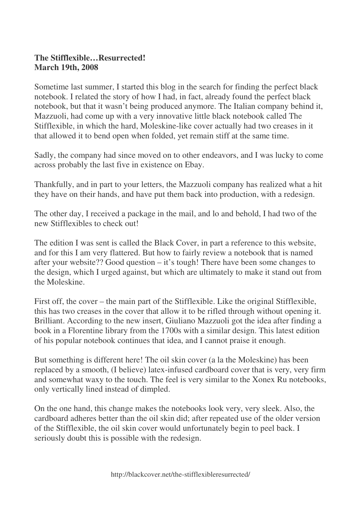## **The Stifflexible…Resurrected! March 19th, 2008**

Sometime last summer, I started this blog in the search for finding the perfect black notebook. I related the story of how I had, in fact, already found the perfect black notebook, but that it wasn't being produced anymore. The Italian company behind it, Mazzuoli, had come up with a very innovative little black notebook called The Stifflexible, in which the hard, Moleskine-like cover actually had two creases in it that allowed it to bend open when folded, yet remain stiff at the same time.

Sadly, the company had since moved on to other endeavors, and I was lucky to come across probably the last five in existence on Ebay.

Thankfully, and in part to your letters, the Mazzuoli company has realized what a hit they have on their hands, and have put them back into production, with a redesign.

The other day, I received a package in the mail, and lo and behold, I had two of the new Stifflexibles to check out!

The edition I was sent is called the Black Cover, in part a reference to this website, and for this I am very flattered. But how to fairly review a notebook that is named after your website?? Good question – it's tough! There have been some changes to the design, which I urged against, but which are ultimately to make it stand out from the Moleskine.

First off, the cover – the main part of the Stifflexible. Like the original Stifflexible, this has two creases in the cover that allow it to be rifled through without opening it. Brilliant. According to the new insert, Giuliano Mazzuoli got the idea after finding a book in a Florentine library from the 1700s with a similar design. This latest edition of his popular notebook continues that idea, and I cannot praise it enough.

But something is different here! The oil skin cover (a la the Moleskine) has been replaced by a smooth, (I believe) latex-infused cardboard cover that is very, very firm and somewhat waxy to the touch. The feel is very similar to the Xonex Ru notebooks, only vertically lined instead of dimpled.

On the one hand, this change makes the notebooks look very, very sleek. Also, the cardboard adheres better than the oil skin did; after repeated use of the older version of the Stifflexible, the oil skin cover would unfortunately begin to peel back. I seriously doubt this is possible with the redesign.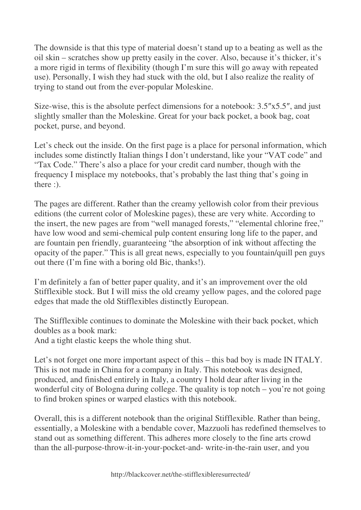The downside is that this type of material doesn't stand up to a beating as well as the oil skin – scratches show up pretty easily in the cover. Also, because it's thicker, it's a more rigid in terms of flexibility (though I'm sure this will go away with repeated use). Personally, I wish they had stuck with the old, but I also realize the reality of trying to stand out from the ever-popular Moleskine.

Size-wise, this is the absolute perfect dimensions for a notebook: 3.5″x5.5″, and just slightly smaller than the Moleskine. Great for your back pocket, a book bag, coat pocket, purse, and beyond.

Let's check out the inside. On the first page is a place for personal information, which includes some distinctly Italian things I don't understand, like your "VAT code" and "Tax Code." There's also a place for your credit card number, though with the frequency I misplace my notebooks, that's probably the last thing that's going in there :).

The pages are different. Rather than the creamy yellowish color from their previous editions (the current color of Moleskine pages), these are very white. According to the insert, the new pages are from "well managed forests," "elemental chlorine free," have low wood and semi-chemical pulp content ensuring long life to the paper, and are fountain pen friendly, guaranteeing "the absorption of ink without affecting the opacity of the paper." This is all great news, especially to you fountain/quill pen guys out there (I'm fine with a boring old Bic, thanks!).

I'm definitely a fan of better paper quality, and it's an improvement over the old Stifflexible stock. But I will miss the old creamy yellow pages, and the colored page edges that made the old Stifflexibles distinctly European.

The Stifflexible continues to dominate the Moleskine with their back pocket, which doubles as a book mark:

And a tight elastic keeps the whole thing shut.

Let's not forget one more important aspect of this – this bad boy is made IN ITALY. This is not made in China for a company in Italy. This notebook was designed, produced, and finished entirely in Italy, a country I hold dear after living in the wonderful city of Bologna during college. The quality is top notch – you're not going to find broken spines or warped elastics with this notebook.

Overall, this is a different notebook than the original Stifflexible. Rather than being, essentially, a Moleskine with a bendable cover, Mazzuoli has redefined themselves to stand out as something different. This adheres more closely to the fine arts crowd than the all-purpose-throw-it-in-your-pocket-and- write-in-the-rain user, and you